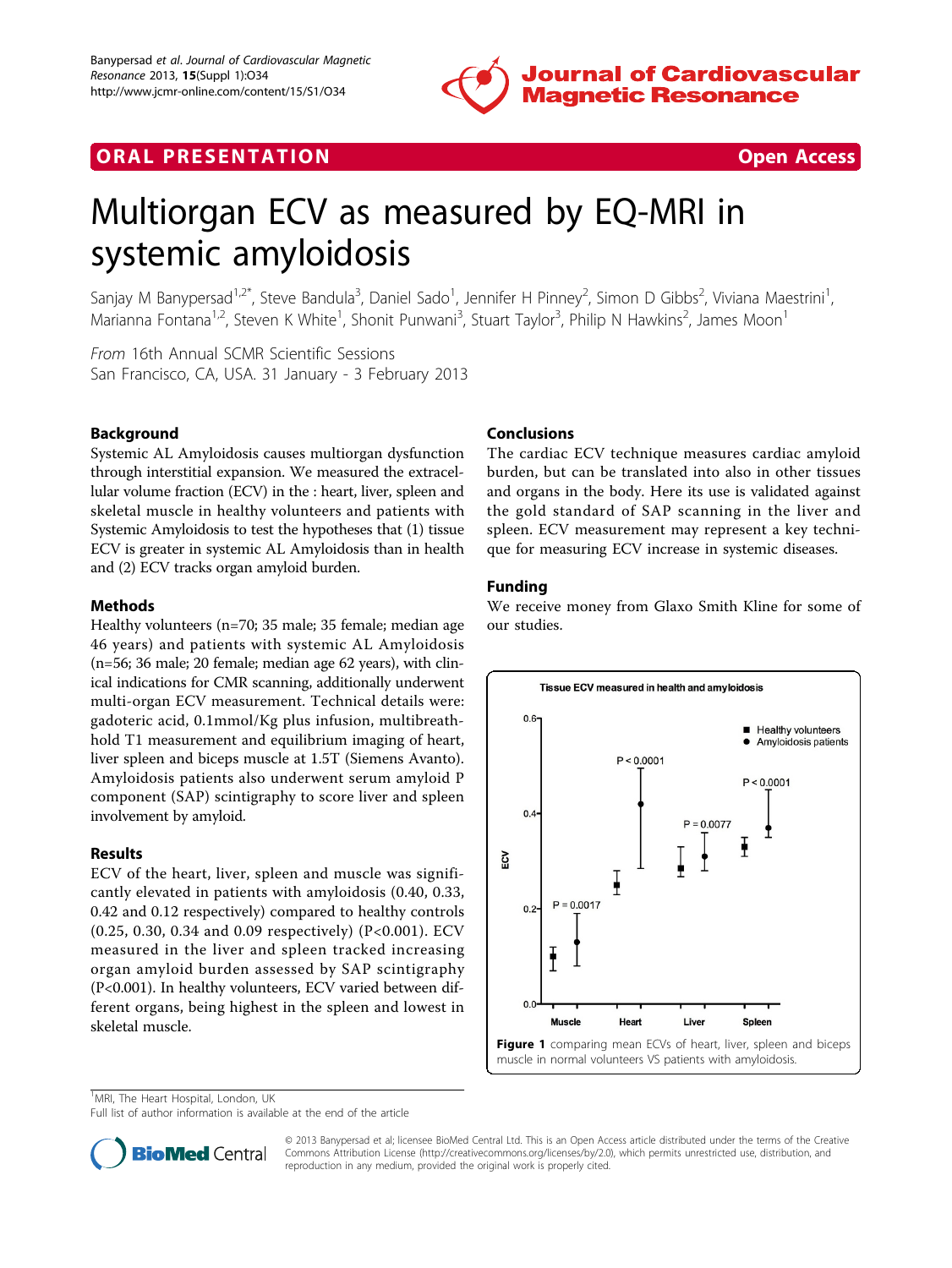

## **ORAL PRESENTATION CONSUMING A RESENTATION**



# Multiorgan ECV as measured by EQ-MRI in systemic amyloidosis

Sanjay M Banypersad<sup>1,2\*</sup>, Steve Bandula<sup>3</sup>, Daniel Sado<sup>1</sup>, Jennifer H Pinney<sup>2</sup>, Simon D Gibbs<sup>2</sup>, Viviana Maestrini<sup>1</sup> , Marianna Fontana<sup>1,2</sup>, Steven K White<sup>1</sup>, Shonit Punwani<sup>3</sup>, Stuart Taylor<sup>3</sup>, Philip N Hawkins<sup>2</sup>, James Moon<sup>1</sup>

From 16th Annual SCMR Scientific Sessions San Francisco, CA, USA. 31 January - 3 February 2013

## Background

Systemic AL Amyloidosis causes multiorgan dysfunction through interstitial expansion. We measured the extracellular volume fraction (ECV) in the : heart, liver, spleen and skeletal muscle in healthy volunteers and patients with Systemic Amyloidosis to test the hypotheses that (1) tissue ECV is greater in systemic AL Amyloidosis than in health and (2) ECV tracks organ amyloid burden.

#### Methods

Healthy volunteers (n=70; 35 male; 35 female; median age 46 years) and patients with systemic AL Amyloidosis (n=56; 36 male; 20 female; median age 62 years), with clinical indications for CMR scanning, additionally underwent multi-organ ECV measurement. Technical details were: gadoteric acid, 0.1mmol/Kg plus infusion, multibreathhold T1 measurement and equilibrium imaging of heart, liver spleen and biceps muscle at 1.5T (Siemens Avanto). Amyloidosis patients also underwent serum amyloid P component (SAP) scintigraphy to score liver and spleen involvement by amyloid.

#### Results

ECV of the heart, liver, spleen and muscle was significantly elevated in patients with amyloidosis (0.40, 0.33, 0.42 and 0.12 respectively) compared to healthy controls (0.25, 0.30, 0.34 and 0.09 respectively) (P<0.001). ECV measured in the liver and spleen tracked increasing organ amyloid burden assessed by SAP scintigraphy (P<0.001). In healthy volunteers, ECV varied between different organs, being highest in the spleen and lowest in skeletal muscle.

## Conclusions

The cardiac ECV technique measures cardiac amyloid burden, but can be translated into also in other tissues and organs in the body. Here its use is validated against the gold standard of SAP scanning in the liver and spleen. ECV measurement may represent a key technique for measuring ECV increase in systemic diseases.

## Funding

We receive money from Glaxo Smith Kline for some of our studies.



<sup>1</sup>MRI, The Heart Hospital, London, UK

Full list of author information is available at the end of the article



© 2013 Banypersad et al; licensee BioMed Central Ltd. This is an Open Access article distributed under the terms of the Creative Commons Attribution License [\(http://creativecommons.org/licenses/by/2.0](http://creativecommons.org/licenses/by/2.0)), which permits unrestricted use, distribution, and reproduction in any medium, provided the original work is properly cited.